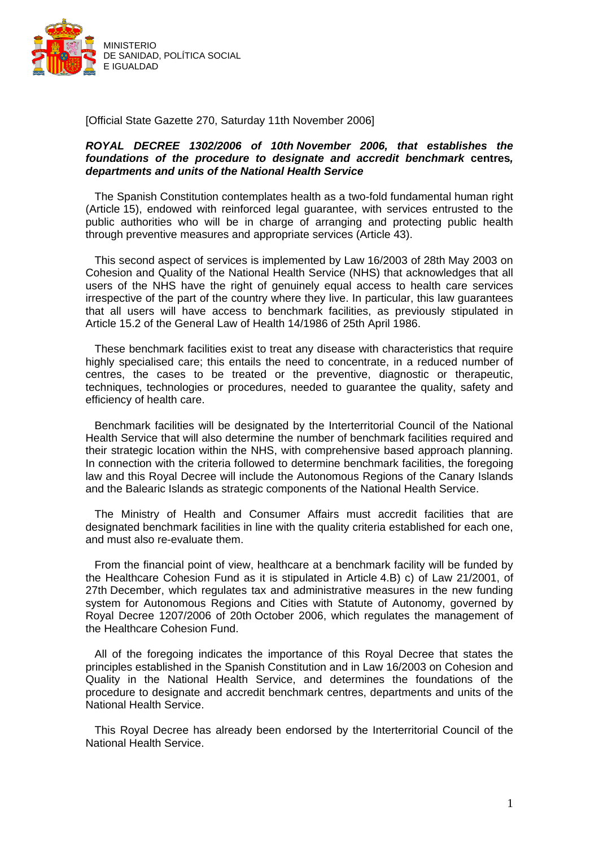

[Official State Gazette 270, Saturday 11th November 2006]

#### *ROYAL DECREE 1302/2006 of 10th November 2006, that establishes the foundations of the procedure to designate and accredit benchmark* **centres***, departments and units of the National Health Service*

The Spanish Constitution contemplates health as a two-fold fundamental human right (Article 15), endowed with reinforced legal guarantee, with services entrusted to the public authorities who will be in charge of arranging and protecting public health through preventive measures and appropriate services (Article 43).

This second aspect of services is implemented by Law 16/2003 of 28th May 2003 on Cohesion and Quality of the National Health Service (NHS) that acknowledges that all users of the NHS have the right of genuinely equal access to health care services irrespective of the part of the country where they live. In particular, this law guarantees that all users will have access to benchmark facilities, as previously stipulated in Article 15.2 of the General Law of Health 14/1986 of 25th April 1986.

These benchmark facilities exist to treat any disease with characteristics that require highly specialised care; this entails the need to concentrate, in a reduced number of centres, the cases to be treated or the preventive, diagnostic or therapeutic, techniques, technologies or procedures, needed to guarantee the quality, safety and efficiency of health care.

Benchmark facilities will be designated by the Interterritorial Council of the National Health Service that will also determine the number of benchmark facilities required and their strategic location within the NHS, with comprehensive based approach planning. In connection with the criteria followed to determine benchmark facilities, the foregoing law and this Royal Decree will include the Autonomous Regions of the Canary Islands and the Balearic Islands as strategic components of the National Health Service.

The Ministry of Health and Consumer Affairs must accredit facilities that are designated benchmark facilities in line with the quality criteria established for each one, and must also re-evaluate them.

From the financial point of view, healthcare at a benchmark facility will be funded by the Healthcare Cohesion Fund as it is stipulated in Article 4.B) c) of Law 21/2001, of 27th December, which regulates tax and administrative measures in the new funding system for Autonomous Regions and Cities with Statute of Autonomy, governed by Royal Decree 1207/2006 of 20th October 2006, which regulates the management of the Healthcare Cohesion Fund.

All of the foregoing indicates the importance of this Royal Decree that states the principles established in the Spanish Constitution and in Law 16/2003 on Cohesion and Quality in the National Health Service, and determines the foundations of the procedure to designate and accredit benchmark centres, departments and units of the National Health Service.

This Royal Decree has already been endorsed by the Interterritorial Council of the National Health Service.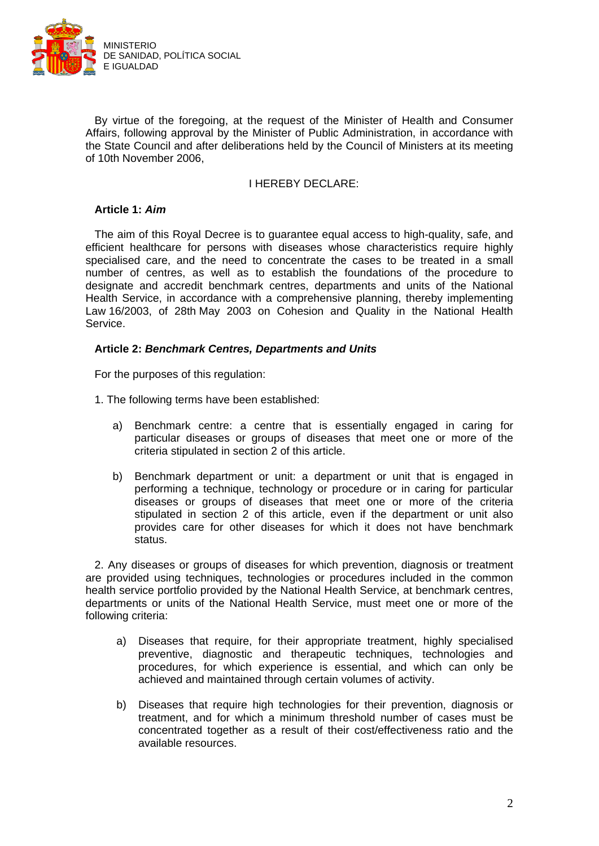

By virtue of the foregoing, at the request of the Minister of Health and Consumer Affairs, following approval by the Minister of Public Administration, in accordance with the State Council and after deliberations held by the Council of Ministers at its meeting of 10th November 2006,

### I HEREBY DECLARE:

# **Article 1:** *Aim*

The aim of this Royal Decree is to guarantee equal access to high-quality, safe, and efficient healthcare for persons with diseases whose characteristics require highly specialised care, and the need to concentrate the cases to be treated in a small number of centres, as well as to establish the foundations of the procedure to designate and accredit benchmark centres, departments and units of the National Health Service, in accordance with a comprehensive planning, thereby implementing Law 16/2003, of 28th May 2003 on Cohesion and Quality in the National Health Service.

## **Article 2:** *Benchmark Centres, Departments and Units*

For the purposes of this regulation:

- 1. The following terms have been established:
	- a) Benchmark centre: a centre that is essentially engaged in caring for particular diseases or groups of diseases that meet one or more of the criteria stipulated in section 2 of this article.
	- b) Benchmark department or unit: a department or unit that is engaged in performing a technique, technology or procedure or in caring for particular diseases or groups of diseases that meet one or more of the criteria stipulated in section 2 of this article, even if the department or unit also provides care for other diseases for which it does not have benchmark status.

2. Any diseases or groups of diseases for which prevention, diagnosis or treatment are provided using techniques, technologies or procedures included in the common health service portfolio provided by the National Health Service, at benchmark centres, departments or units of the National Health Service, must meet one or more of the following criteria:

- a) Diseases that require, for their appropriate treatment, highly specialised preventive, diagnostic and therapeutic techniques, technologies and procedures, for which experience is essential, and which can only be achieved and maintained through certain volumes of activity.
- b) Diseases that require high technologies for their prevention, diagnosis or treatment, and for which a minimum threshold number of cases must be concentrated together as a result of their cost/effectiveness ratio and the available resources.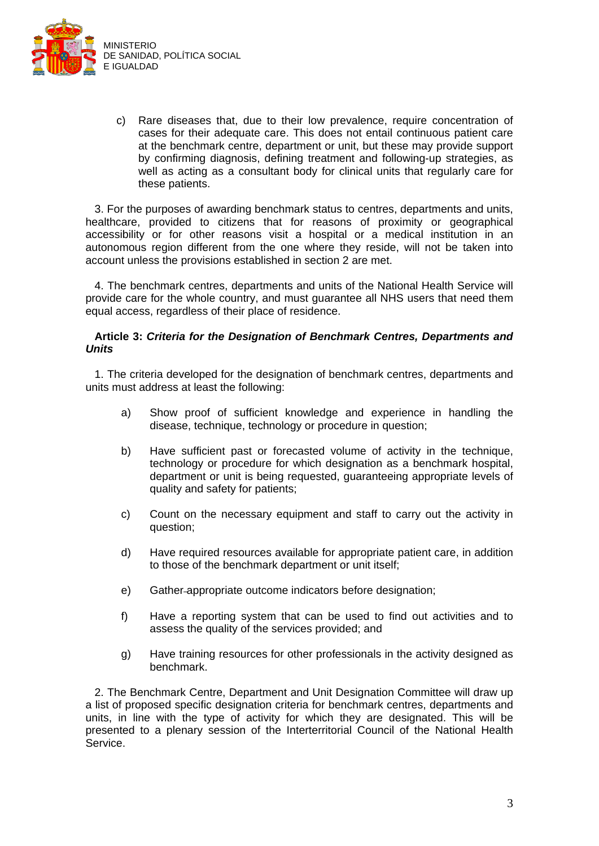

c) Rare diseases that, due to their low prevalence, require concentration of cases for their adequate care. This does not entail continuous patient care at the benchmark centre, department or unit, but these may provide support by confirming diagnosis, defining treatment and following-up strategies, as well as acting as a consultant body for clinical units that regularly care for these patients.

3. For the purposes of awarding benchmark status to centres, departments and units, healthcare, provided to citizens that for reasons of proximity or geographical accessibility or for other reasons visit a hospital or a medical institution in an autonomous region different from the one where they reside, will not be taken into account unless the provisions established in section 2 are met.

4. The benchmark centres, departments and units of the National Health Service will provide care for the whole country, and must guarantee all NHS users that need them equal access, regardless of their place of residence.

### **Article 3:** *Criteria for the Designation of Benchmark Centres, Departments and Units*

1. The criteria developed for the designation of benchmark centres, departments and units must address at least the following:

- a) Show proof of sufficient knowledge and experience in handling the disease, technique, technology or procedure in question;
- b) Have sufficient past or forecasted volume of activity in the technique, technology or procedure for which designation as a benchmark hospital, department or unit is being requested, guaranteeing appropriate levels of quality and safety for patients;
- c) Count on the necessary equipment and staff to carry out the activity in question;
- d) Have required resources available for appropriate patient care, in addition to those of the benchmark department or unit itself;
- e) Gather appropriate outcome indicators before designation;
- f) Have a reporting system that can be used to find out activities and to assess the quality of the services provided; and
- g) Have training resources for other professionals in the activity designed as benchmark.

2. The Benchmark Centre, Department and Unit Designation Committee will draw up a list of proposed specific designation criteria for benchmark centres, departments and units, in line with the type of activity for which they are designated. This will be presented to a plenary session of the Interterritorial Council of the National Health Service.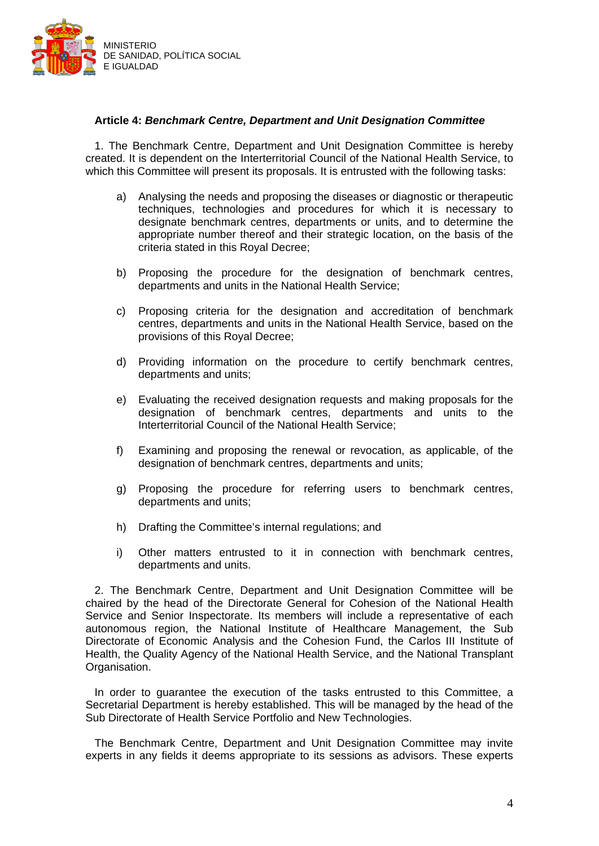

## **Article 4:** *Benchmark Centre, Department and Unit Designation Committee*

1. The Benchmark Centre, Department and Unit Designation Committee is hereby created. It is dependent on the Interterritorial Council of the National Health Service, to which this Committee will present its proposals. It is entrusted with the following tasks:

- a) Analysing the needs and proposing the diseases or diagnostic or therapeutic techniques, technologies and procedures for which it is necessary to designate benchmark centres, departments or units, and to determine the appropriate number thereof and their strategic location, on the basis of the criteria stated in this Royal Decree;
- b) Proposing the procedure for the designation of benchmark centres, departments and units in the National Health Service;
- c) Proposing criteria for the designation and accreditation of benchmark centres, departments and units in the National Health Service, based on the provisions of this Royal Decree;
- d) Providing information on the procedure to certify benchmark centres, departments and units;
- e) Evaluating the received designation requests and making proposals for the designation of benchmark centres, departments and units to the Interterritorial Council of the National Health Service;
- f) Examining and proposing the renewal or revocation, as applicable, of the designation of benchmark centres, departments and units;
- g) Proposing the procedure for referring users to benchmark centres, departments and units;
- h) Drafting the Committee's internal regulations; and
- i) Other matters entrusted to it in connection with benchmark centres, departments and units.

2. The Benchmark Centre, Department and Unit Designation Committee will be chaired by the head of the Directorate General for Cohesion of the National Health Service and Senior Inspectorate. Its members will include a representative of each autonomous region, the National Institute of Healthcare Management, the Sub Directorate of Economic Analysis and the Cohesion Fund, the Carlos III Institute of Health, the Quality Agency of the National Health Service, and the National Transplant Organisation.

In order to guarantee the execution of the tasks entrusted to this Committee, a Secretarial Department is hereby established. This will be managed by the head of the Sub Directorate of Health Service Portfolio and New Technologies.

The Benchmark Centre, Department and Unit Designation Committee may invite experts in any fields it deems appropriate to its sessions as advisors. These experts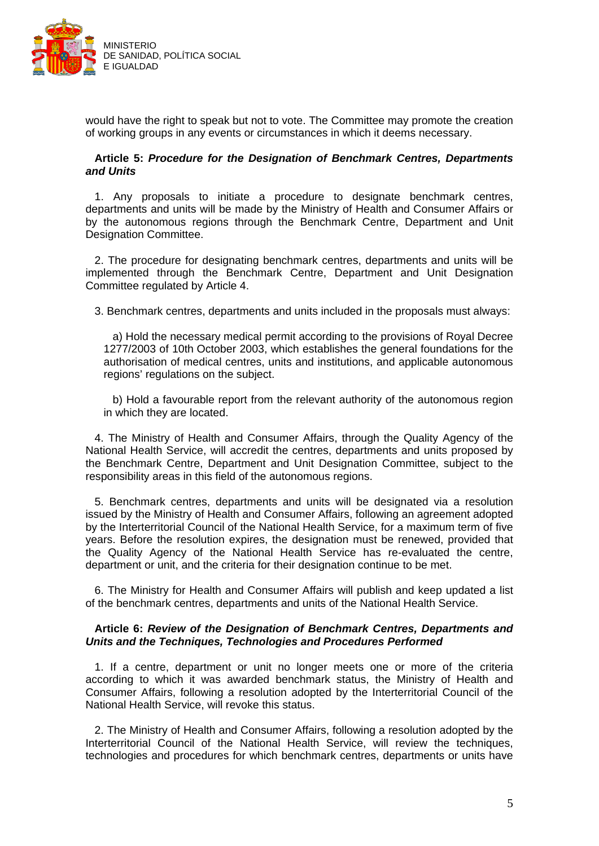

would have the right to speak but not to vote. The Committee may promote the creation of working groups in any events or circumstances in which it deems necessary.

## **Article 5:** *Procedure for the Designation of Benchmark Centres, Departments and Units*

1. Any proposals to initiate a procedure to designate benchmark centres, departments and units will be made by the Ministry of Health and Consumer Affairs or by the autonomous regions through the Benchmark Centre, Department and Unit Designation Committee.

2. The procedure for designating benchmark centres, departments and units will be implemented through the Benchmark Centre, Department and Unit Designation Committee regulated by Article 4.

3. Benchmark centres, departments and units included in the proposals must always:

a) Hold the necessary medical permit according to the provisions of Royal Decree 1277/2003 of 10th October 2003, which establishes the general foundations for the authorisation of medical centres, units and institutions, and applicable autonomous regions' regulations on the subject.

b) Hold a favourable report from the relevant authority of the autonomous region in which they are located.

4. The Ministry of Health and Consumer Affairs, through the Quality Agency of the National Health Service, will accredit the centres, departments and units proposed by the Benchmark Centre, Department and Unit Designation Committee, subject to the responsibility areas in this field of the autonomous regions.

5. Benchmark centres, departments and units will be designated via a resolution issued by the Ministry of Health and Consumer Affairs, following an agreement adopted by the Interterritorial Council of the National Health Service, for a maximum term of five years. Before the resolution expires, the designation must be renewed, provided that the Quality Agency of the National Health Service has re-evaluated the centre, department or unit, and the criteria for their designation continue to be met.

6. The Ministry for Health and Consumer Affairs will publish and keep updated a list of the benchmark centres, departments and units of the National Health Service.

## **Article 6:** *Review of the Designation of Benchmark Centres, Departments and Units and the Techniques, Technologies and Procedures Performed*

1. If a centre, department or unit no longer meets one or more of the criteria according to which it was awarded benchmark status, the Ministry of Health and Consumer Affairs, following a resolution adopted by the Interterritorial Council of the National Health Service, will revoke this status.

2. The Ministry of Health and Consumer Affairs, following a resolution adopted by the Interterritorial Council of the National Health Service, will review the techniques, technologies and procedures for which benchmark centres, departments or units have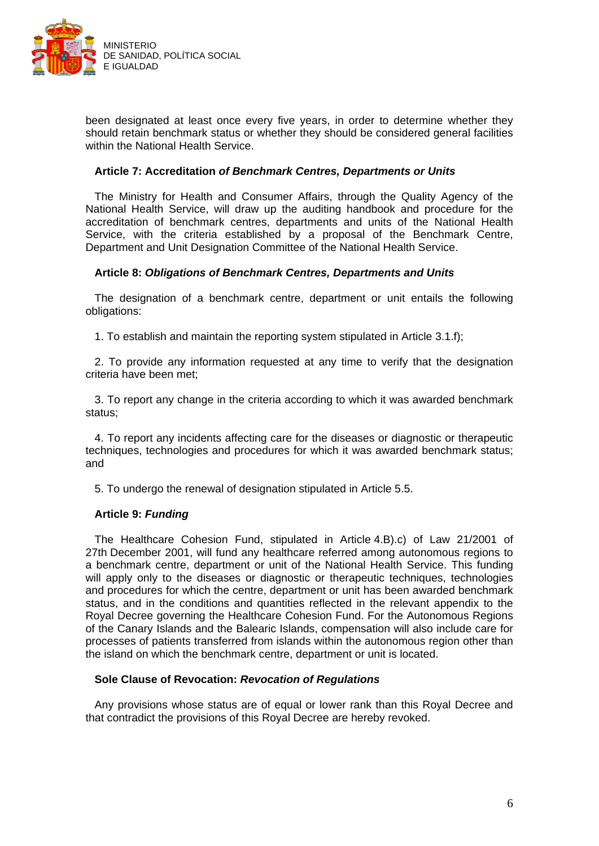

been designated at least once every five years, in order to determine whether they should retain benchmark status or whether they should be considered general facilities within the National Health Service.

### **Article 7: Accreditation** *of Benchmark Centres, Departments or Units*

The Ministry for Health and Consumer Affairs, through the Quality Agency of the National Health Service, will draw up the auditing handbook and procedure for the accreditation of benchmark centres, departments and units of the National Health Service, with the criteria established by a proposal of the Benchmark Centre, Department and Unit Designation Committee of the National Health Service.

## **Article 8:** *Obligations of Benchmark Centres, Departments and Units*

The designation of a benchmark centre, department or unit entails the following obligations:

1. To establish and maintain the reporting system stipulated in Article 3.1.f);

2. To provide any information requested at any time to verify that the designation criteria have been met;

3. To report any change in the criteria according to which it was awarded benchmark status;

4. To report any incidents affecting care for the diseases or diagnostic or therapeutic techniques, technologies and procedures for which it was awarded benchmark status; and

5. To undergo the renewal of designation stipulated in Article 5.5.

#### **Article 9:** *Funding*

The Healthcare Cohesion Fund, stipulated in Article 4.B).c) of Law 21/2001 of 27th December 2001, will fund any healthcare referred among autonomous regions to a benchmark centre, department or unit of the National Health Service. This funding will apply only to the diseases or diagnostic or therapeutic techniques, technologies and procedures for which the centre, department or unit has been awarded benchmark status, and in the conditions and quantities reflected in the relevant appendix to the Royal Decree governing the Healthcare Cohesion Fund. For the Autonomous Regions of the Canary Islands and the Balearic Islands, compensation will also include care for processes of patients transferred from islands within the autonomous region other than the island on which the benchmark centre, department or unit is located.

#### **Sole Clause of Revocation:** *Revocation of Regulations*

Any provisions whose status are of equal or lower rank than this Royal Decree and that contradict the provisions of this Royal Decree are hereby revoked.